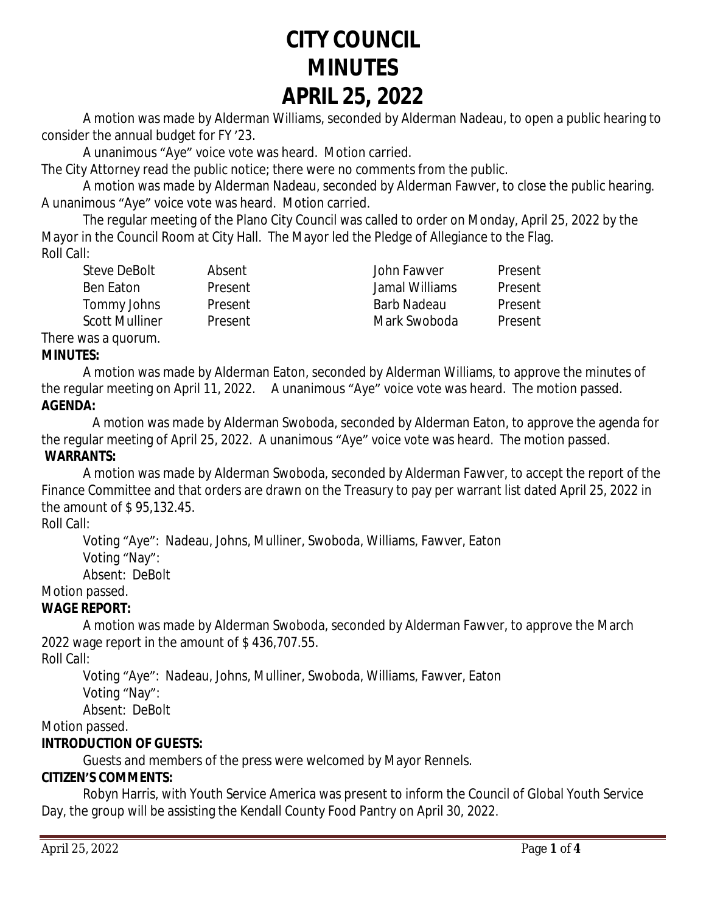# **CITY COUNCIL MINUTES APRIL 25, 2022**

A motion was made by Alderman Williams, seconded by Alderman Nadeau, to open a public hearing to consider the annual budget for FY '23.

A unanimous "Aye" voice vote was heard. Motion carried.

The City Attorney read the public notice; there were no comments from the public.

A motion was made by Alderman Nadeau, seconded by Alderman Fawver, to close the public hearing. A unanimous "Aye" voice vote was heard. Motion carried.

The regular meeting of the Plano City Council was called to order on Monday, April 25, 2022 by the Mayor in the Council Room at City Hall. The Mayor led the Pledge of Allegiance to the Flag. Roll Call:

| Steve DeBolt   | Absent  | John Fawyer    | Present |
|----------------|---------|----------------|---------|
| Ben Eaton      | Present | Jamal Williams | Present |
| Tommy Johns    | Present | Barb Nadeau    | Present |
| Scott Mulliner | Present | Mark Swoboda   | Present |
|                |         |                |         |

#### There was a quorum. **MINUTES:**

A motion was made by Alderman Eaton, seconded by Alderman Williams, to approve the minutes of the regular meeting on April 11, 2022. A unanimous "Aye" voice vote was heard. The motion passed. **AGENDA:**

 A motion was made by Alderman Swoboda, seconded by Alderman Eaton, to approve the agenda for the regular meeting of April 25, 2022. A unanimous "Aye" voice vote was heard. The motion passed. **WARRANTS:**

A motion was made by Alderman Swoboda, seconded by Alderman Fawver, to accept the report of the Finance Committee and that orders are drawn on the Treasury to pay per warrant list dated April 25, 2022 in the amount of \$ 95,132.45.

### Roll Call:

Voting "Aye": Nadeau, Johns, Mulliner, Swoboda, Williams, Fawver, Eaton Voting "Nay":

Absent: DeBolt

## Motion passed.

### **WAGE REPORT:**

A motion was made by Alderman Swoboda, seconded by Alderman Fawver, to approve the March 2022 wage report in the amount of \$ 436,707.55.

Roll Call:

Voting "Aye": Nadeau, Johns, Mulliner, Swoboda, Williams, Fawver, Eaton

Voting "Nay":

Absent: DeBolt

Motion passed.

## **INTRODUCTION OF GUESTS:**

Guests and members of the press were welcomed by Mayor Rennels.

## **CITIZEN'S COMMENTS:**

Robyn Harris, with Youth Service America was present to inform the Council of Global Youth Service Day, the group will be assisting the Kendall County Food Pantry on April 30, 2022.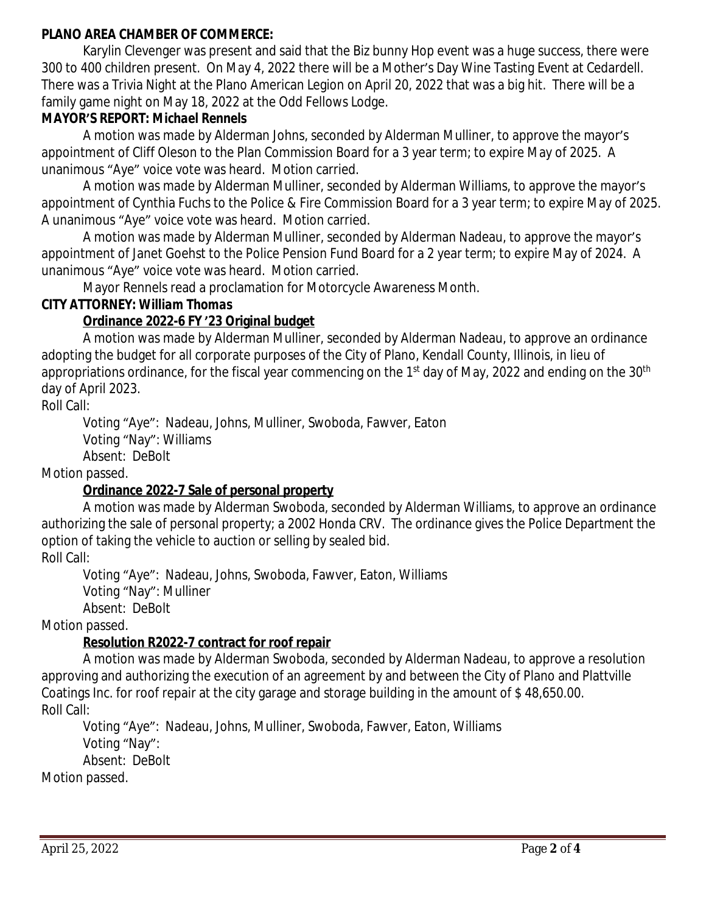#### **PLANO AREA CHAMBER OF COMMERCE:**

Karylin Clevenger was present and said that the Biz bunny Hop event was a huge success, there were 300 to 400 children present. On May 4, 2022 there will be a Mother's Day Wine Tasting Event at Cedardell. There was a Trivia Night at the Plano American Legion on April 20, 2022 that was a big hit. There will be a family game night on May 18, 2022 at the Odd Fellows Lodge.

#### **MAYOR'S REPORT:** *Michael Rennels*

A motion was made by Alderman Johns, seconded by Alderman Mulliner, to approve the mayor's appointment of Cliff Oleson to the Plan Commission Board for a 3 year term; to expire May of 2025. A unanimous "Aye" voice vote was heard. Motion carried.

A motion was made by Alderman Mulliner, seconded by Alderman Williams, to approve the mayor's appointment of Cynthia Fuchs to the Police & Fire Commission Board for a 3 year term; to expire May of 2025. A unanimous "Aye" voice vote was heard. Motion carried.

A motion was made by Alderman Mulliner, seconded by Alderman Nadeau, to approve the mayor's appointment of Janet Goehst to the Police Pension Fund Board for a 2 year term; to expire May of 2024. A unanimous "Aye" voice vote was heard. Motion carried.

Mayor Rennels read a proclamation for Motorcycle Awareness Month.

#### **CITY ATTORNEY:** *William Thomas*

### **Ordinance 2022-6 FY '23 Original budget**

A motion was made by Alderman Mulliner, seconded by Alderman Nadeau, to approve an ordinance adopting the budget for all corporate purposes of the City of Plano, Kendall County, Illinois, in lieu of appropriations ordinance, for the fiscal year commencing on the 1<sup>st</sup> day of May, 2022 and ending on the 30<sup>th</sup> day of April 2023.

Roll Call:

Voting "Aye": Nadeau, Johns, Mulliner, Swoboda, Fawver, Eaton Voting "Nay": Williams Absent: DeBolt

Motion passed.

## **Ordinance 2022-7 Sale of personal property**

A motion was made by Alderman Swoboda, seconded by Alderman Williams, to approve an ordinance authorizing the sale of personal property; a 2002 Honda CRV. The ordinance gives the Police Department the option of taking the vehicle to auction or selling by sealed bid. Roll Call:

Voting "Aye": Nadeau, Johns, Swoboda, Fawver, Eaton, Williams Voting "Nay": Mulliner Absent: DeBolt

Motion passed.

### **Resolution R2022-7 contract for roof repair**

A motion was made by Alderman Swoboda, seconded by Alderman Nadeau, to approve a resolution approving and authorizing the execution of an agreement by and between the City of Plano and Plattville Coatings Inc. for roof repair at the city garage and storage building in the amount of \$ 48,650.00. Roll Call:

Voting "Aye": Nadeau, Johns, Mulliner, Swoboda, Fawver, Eaton, Williams Voting "Nay": Absent: DeBolt

Motion passed.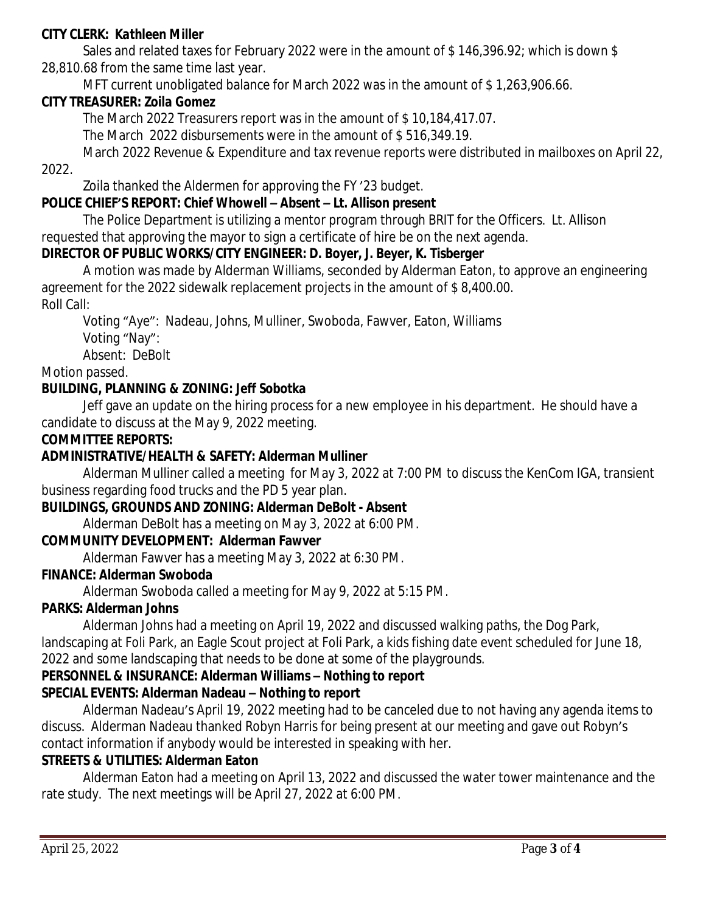#### **CITY CLERK:** *Kathleen Miller*

Sales and related taxes for February 2022 were in the amount of \$146,396.92; which is down \$ 28,810.68 from the same time last year.

MFT current unobligated balance for March 2022 was in the amount of \$ 1,263,906.66.

#### **CITY TREASURER***: Zoila Gomez*

The March 2022 Treasurers report was in the amount of \$ 10,184,417.07.

The March 2022 disbursements were in the amount of \$ 516,349.19.

March 2022 Revenue & Expenditure and tax revenue reports were distributed in mailboxes on April 22, 2022.

Zoila thanked the Aldermen for approving the FY '23 budget.

#### **POLICE CHIEF'S REPORT:** *Chief Whowell – Absent – Lt. Allison present*

The Police Department is utilizing a mentor program through BRIT for the Officers. Lt. Allison requested that approving the mayor to sign a certificate of hire be on the next agenda.

#### **DIRECTOR OF PUBLIC WORKS/CITY ENGINEER***: D. Boyer, J. Beyer, K. Tisberger*

A motion was made by Alderman Williams, seconded by Alderman Eaton, to approve an engineering agreement for the 2022 sidewalk replacement projects in the amount of \$ 8,400.00. Roll Call:

Voting "Aye": Nadeau, Johns, Mulliner, Swoboda, Fawver, Eaton, Williams Voting "Nay":

Absent: DeBolt

Motion passed.

#### **BUILDING, PLANNING & ZONING:** *Jeff Sobotka*

Jeff gave an update on the hiring process for a new employee in his department. He should have a candidate to discuss at the May 9, 2022 meeting.

#### **COMMITTEE REPORTS:**

#### **ADMINISTRATIVE/HEALTH & SAFETY: Alderman Mulliner**

Alderman Mulliner called a meeting for May 3, 2022 at 7:00 PM to discuss the KenCom IGA, transient business regarding food trucks and the PD 5 year plan.

#### **BUILDINGS, GROUNDS AND ZONING: Alderman DeBolt - Absent**

Alderman DeBolt has a meeting on May 3, 2022 at 6:00 PM.

#### **COMMUNITY DEVELOPMENT: Alderman Fawver**

Alderman Fawver has a meeting May 3, 2022 at 6:30 PM.

#### **FINANCE: Alderman Swoboda**

Alderman Swoboda called a meeting for May 9, 2022 at 5:15 PM.

#### **PARKS: Alderman Johns**

Alderman Johns had a meeting on April 19, 2022 and discussed walking paths, the Dog Park, landscaping at Foli Park, an Eagle Scout project at Foli Park, a kids fishing date event scheduled for June 18, 2022 and some landscaping that needs to be done at some of the playgrounds.

#### **PERSONNEL & INSURANCE: Alderman Williams – Nothing to report SPECIAL EVENTS: Alderman Nadeau – Nothing to report**

Alderman Nadeau's April 19, 2022 meeting had to be canceled due to not having any agenda items to discuss. Alderman Nadeau thanked Robyn Harris for being present at our meeting and gave out Robyn's contact information if anybody would be interested in speaking with her.

#### **STREETS & UTILITIES: Alderman Eaton**

Alderman Eaton had a meeting on April 13, 2022 and discussed the water tower maintenance and the rate study. The next meetings will be April 27, 2022 at 6:00 PM.